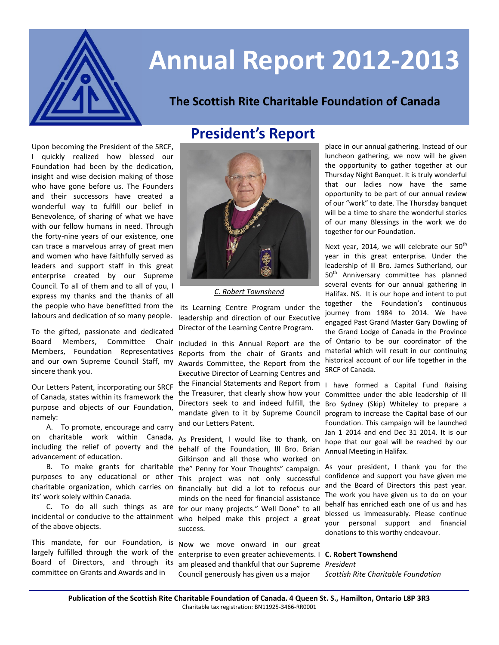

# **Annual Report 2012-2013**

#### **The Scottish Rite Charitable Foundation of Canada**

### **President's Report**

Upon becoming the President of the SRCF, I quickly realized how blessed our Foundation had been by the dedication, insight and wise decision making of those who have gone before us. The Founders and their successors have created a wonderful way to fulfill our belief in Benevolence, of sharing of what we have with our fellow humans in need. Through the forty-nine years of our existence, one can trace a marvelous array of great men and women who have faithfully served as leaders and support staff in this great enterprise created by our Supreme Council. To all of them and to all of you, I express my thanks and the thanks of all the people who have benefitted from the labours and dedication of so many people.

To the gifted, passionate and dedicated Board Members, Committee Chair Members, Foundation Representatives and our own Supreme Council Staff, my sincere thank you.

Our Letters Patent, incorporating our SRCF of Canada, states within its framework the purpose and objects of our Foundation, namely:

A. To promote, encourage and carry on charitable work within Canada, including the relief of poverty and the advancement of education.

B. To make grants for charitable purposes to any educational or other charitable organization, which carries on its' work solely within Canada.

C. To do all such things as are incidental or conducive to the attainment of the above objects.

This mandate, for our Foundation, is largely fulfilled through the work of the Board of Directors, and through its committee on Grants and Awards and in



*C. Robert Townshend*

its Learning Centre Program under the leadership and direction of our Executive Director of the Learning Centre Program.

Included in this Annual Report are the Reports from the chair of Grants and Awards Committee, the Report from the Executive Director of Learning Centres and the Financial Statements and Report from the Treasurer, that clearly show how your Directors seek to and indeed fulfill, the mandate given to it by Supreme Council and our Letters Patent.

As President, I would like to thank, on behalf of the Foundation, Ill Bro. Brian Gilkinson and all those who worked on the" Penny for Your Thoughts" campaign. This project was not only successful financially but did a lot to refocus our minds on the need for financial assistance for our many projects." Well Done" to all who helped make this project a great success.

Now we move onward in our great enterprise to even greater achievements. I **C. Robert Townshend** am pleased and thankful that our Supreme *President* Council generously has given us a major

place in our annual gathering. Instead of our luncheon gathering, we now will be given the opportunity to gather together at our Thursday Night Banquet. It is truly wonderful that our ladies now have the same opportunity to be part of our annual review of our "work" to date. The Thursday banquet will be a time to share the wonderful stories of our many Blessings in the work we do together for our Foundation.

Next year, 2014, we will celebrate our 50<sup>th</sup> year in this great enterprise. Under the leadership of Ill Bro. James Sutherland, our 50<sup>th</sup> Anniversary committee has planned several events for our annual gathering in Halifax. NS. It is our hope and intent to put together the Foundation's continuous journey from 1984 to 2014. We have engaged Past Grand Master Gary Dowling of the Grand Lodge of Canada in the Province of Ontario to be our coordinator of the material which will result in our continuing historical account of our life together in the SRCF of Canada.

I have formed a Capital Fund Raising Committee under the able leadership of Ill Bro Sydney (Skip) Whiteley to prepare a program to increase the Capital base of our Foundation. This campaign will be launched Jan 1 2014 and end Dec 31 2014. It is our hope that our goal will be reached by our Annual Meeting in Halifax.

As your president, I thank you for the confidence and support you have given me and the Board of Directors this past year. The work you have given us to do on your behalf has enriched each one of us and has blessed us immeasurably. Please continue your personal support and financial donations to this worthy endeavour.

*Scottish Rite Charitable Foundation*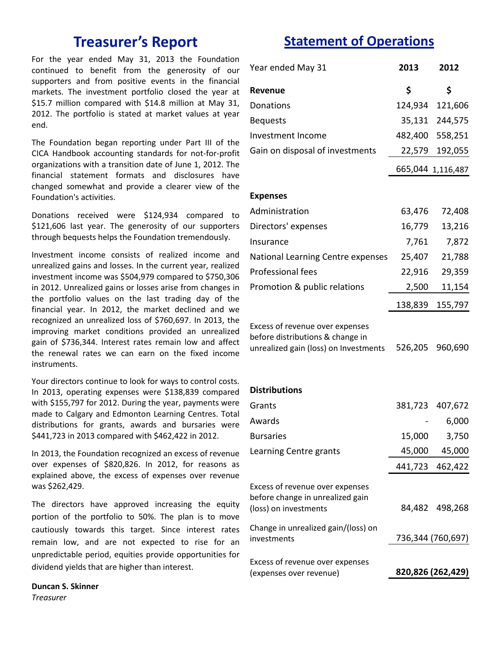For the year ended May 31, 2013 the Foundation continued to benefit from the generosity of our supporters and from positive events in the financial markets. The investment portfolio closed the year at \$15.7 million compared with \$14.8 million at May 31, 2012. The portfolio is stated at market values at year end.

The Foundation began reporting under Part III of the CICA Handbook accounting standards for not-for-profit organizations with a transition date of June 1, 2012. The financial statement formats and disclosures have changed somewhat and provide a clearer view of the Foundation's activities.

Donations received were \$124,934 compared to \$121,606 last year. The generosity of our supporters through bequests helps the Foundation tremendously.

Investment income consists of realized income and unrealized gains and losses. In the current year, realized investment income was \$504,979 compared to \$750,306 in 2012. Unrealized gains or losses arise from changes in the portfolio values on the last trading day of the financial year. In 2012, the market declined and we recognized an unrealized loss of \$760,697. In 2013, the improving market conditions provided an unrealized gain of \$736,344. Interest rates remain low and affect the renewal rates we can earn on the fixed income instruments.

Your directors continue to look for ways to control costs. In 2013, operating expenses were \$138,839 compared with \$155,797 for 2012. During the year, payments were made to Calgary and Edmonton Learning Centres. Total distributions for grants, awards and bursaries were \$441,723 in 2013 compared with \$462,422 in 2012.

In 2013, the Foundation recognized an excess of revenue over expenses of \$820,826. In 2012, for reasons as explained above, the excess of expenses over revenue was \$262,429.

The directors have approved increasing the equity portion of the portfolio to 50%. The plan is to move cautiously towards this target. Since interest rates remain low, and are not expected to rise for an unpredictable period, equities provide opportunities for dividend yields that are higher than interest.

**Duncan S. Skinner** *Treasurer*

## **Treasurer's Report Statement of Operations**

| Year ended May 31                                                                                            | 2013    | 2012              |
|--------------------------------------------------------------------------------------------------------------|---------|-------------------|
| Revenue                                                                                                      | \$      | \$                |
| Donations                                                                                                    |         | 124,934 121,606   |
| <b>Bequests</b>                                                                                              |         | 35,131 244,575    |
| Investment Income                                                                                            |         | 482,400 558,251   |
| Gain on disposal of investments                                                                              |         | 22,579 192,055    |
|                                                                                                              |         | 665,044 1,116,487 |
| <b>Expenses</b>                                                                                              |         |                   |
| Administration                                                                                               | 63,476  | 72,408            |
| Directors' expenses                                                                                          | 16,779  | 13,216            |
| Insurance                                                                                                    | 7,761   | 7,872             |
| National Learning Centre expenses                                                                            | 25,407  | 21,788            |
| <b>Professional fees</b>                                                                                     | 22,916  | 29,359            |
| Promotion & public relations                                                                                 | 2,500   | 11,154            |
|                                                                                                              | 138,839 | 155,797           |
| Excess of revenue over expenses<br>before distributions & change in<br>unrealized gain (loss) on Investments | 526,205 | 960,690           |
| <b>Distributions</b>                                                                                         |         |                   |
| Grants                                                                                                       |         | 381,723 407,672   |
| Awards                                                                                                       |         | 6,000             |
| <b>Bursaries</b>                                                                                             | 15,000  | 3,750             |
| Learning Centre grants                                                                                       | 45,000  | 45,000            |
|                                                                                                              |         | 441,723 462,422   |
| Excess of revenue over expenses<br>before change in unrealized gain<br>(loss) on investments                 |         | 84,482 498,268    |
| Change in unrealized gain/(loss) on<br>investments                                                           |         | 736,344 (760,697) |
| Excess of revenue over expenses<br>(expenses over revenue)                                                   |         | 820,826 (262,429) |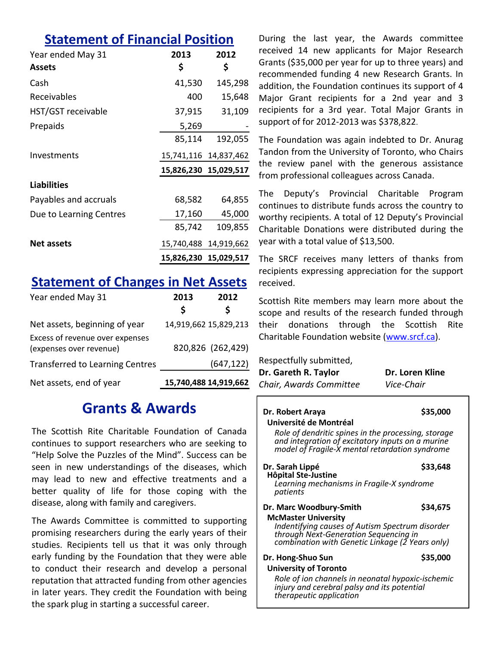#### **Statement of Financial Position**

| Year ended May 31<br><b>Assets</b> | 2013<br>\$            | 2012<br>\$            |
|------------------------------------|-----------------------|-----------------------|
| Cash                               | 41,530                | 145,298               |
| Receivables                        | 400                   | 15,648                |
| HST/GST receivable                 | 37,915                | 31,109                |
| Prepaids                           | 5,269                 |                       |
|                                    | 85,114                | 192,055               |
| Investments                        | 15,741,116 14,837,462 |                       |
|                                    | 15,826,230 15,029,517 |                       |
| <b>Liabilities</b>                 |                       |                       |
| Payables and accruals              | 68,582                | 64,855                |
| Due to Learning Centres            | 17,160                | 45,000                |
|                                    | 85,742                | 109,855               |
| <b>Net assets</b>                  |                       | 15,740,488 14,919,662 |
|                                    |                       | 15,826,230 15,029,517 |

#### **Statement of Changes in Net Assets**

| Year ended May 31                                          | 2013 | 2012                  |
|------------------------------------------------------------|------|-----------------------|
|                                                            | S    | S                     |
| Net assets, beginning of year                              |      | 14,919,662 15,829,213 |
| Excess of revenue over expenses<br>(expenses over revenue) |      | 820,826 (262,429)     |
| <b>Transferred to Learning Centres</b>                     |      | (647, 122)            |
| Net assets, end of year                                    |      | 15,740,488 14,919,662 |

#### **Grants & Awards**

The Scottish Rite Charitable Foundation of Canada continues to support researchers who are seeking to "Help Solve the Puzzles of the Mind". Success can be seen in new understandings of the diseases, which may lead to new and effective treatments and a better quality of life for those coping with the disease, along with family and caregivers.

The Awards Committee is committed to supporting promising researchers during the early years of their studies. Recipients tell us that it was only through early funding by the Foundation that they were able to conduct their research and develop a personal reputation that attracted funding from other agencies in later years. They credit the Foundation with being the spark plug in starting a successful career.

During the last year, the Awards committee received 14 new applicants for Major Research Grants (\$35,000 per year for up to three years) and recommended funding 4 new Research Grants. In addition, the Foundation continues its support of 4 Major Grant recipients for a 2nd year and 3 recipients for a 3rd year. Total Major Grants in support of for 2012-2013 was \$378,822.

The Foundation was again indebted to Dr. Anurag Tandon from the University of Toronto, who Chairs the review panel with the generous assistance from professional colleagues across Canada.

The Deputy's Provincial Charitable Program continues to distribute funds across the country to worthy recipients. A total of 12 Deputy's Provincial Charitable Donations were distributed during the year with a total value of \$13,500.

The SRCF receives many letters of thanks from recipients expressing appreciation for the support received.

Scottish Rite members may learn more about the scope and results of the research funded through their donations through the Scottish Rite Charitable Foundation website ([www.srcf.ca\).](http://www.srcf.ca)

Respectfully submitted,

*therapeutic application*

| Dr. Gareth R. Taylor    | Dr. Loren Kline |
|-------------------------|-----------------|
| Chair, Awards Committee | Vice-Chair      |

**Dr. Robert Araya** \$35,000 **Université de Montréal**  *Role of dendritic spines in the processing, storage and integration of excitatory inputs on a murine model of Fragile-X mental retardation syndrome*  **Dr. Sarah Lippé \$33,648 Hôpital Ste-Justine** *Learning mechanisms in Fragile-X syndrome patients* **Dr. Marc Woodbury-Smith \$34,675 McMaster University** *Indentifying causes of Autism Spectrum disorder through Next-Generation Sequencing in combination with Genetic Linkage (2 Years only)* **Dr. Hong-Shuo Sun \$35,000 University of Toronto** *Role of ion channels in neonatal hypoxic-ischemic injury and cerebral palsy and its potential*